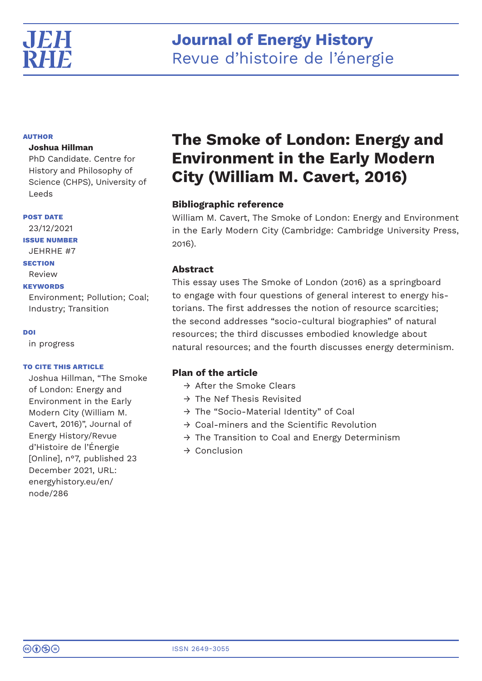

# **Journal of Energy History** Revue d'histoire de l'énergie

# **AUTHOR**

# **Joshua Hillman**

PhD Candidate. Centre for History and Philosophy of Science (CHPS), University of Leeds

## **POST DATE**

23/12/2021 **ISSUE NUMBER** JEHRHE #7 **SECTION** Review

# **KEYWORDS**

Environment; Pollution; Coal; Industry; Transition

# **DOI**

in progress

# **TO CITE THIS ARTICLE**

Joshua Hillman, "The Smoke of London: Energy and Environment in the Early Modern City (William M. Cavert, 2016)", Journal of Energy History/Revue d'Histoire de l'Énergie [Online], n°7, published 23 December 2021, URL: energyhistory.eu/en/ node/286

# **The Smoke of London: Energy and Environment in the Early Modern City (William M. Cavert, 2016)**

# **Bibliographic reference**

William M. Cavert, The Smoke of London: Energy and Environment in the Early Modern City (Cambridge: Cambridge University Press, 2016).

# **Abstract**

This essay uses The Smoke of London (2016) as a springboard to engage with four questions of general interest to energy historians. The first addresses the notion of resource scarcities; the second addresses "socio-cultural biographies" of natural resources; the third discusses embodied knowledge about natural resources; and the fourth discusses energy determinism.

# **Plan of the article**

- $\rightarrow$  After the Smoke Clears
- $\rightarrow$  The Nef Thesis Revisited
- → The "Socio-Material Identity" of Coal
- $\rightarrow$  Coal-miners and the Scientific Revolution
- $\rightarrow$  The Transition to Coal and Energy Determinism
- → Conclusion

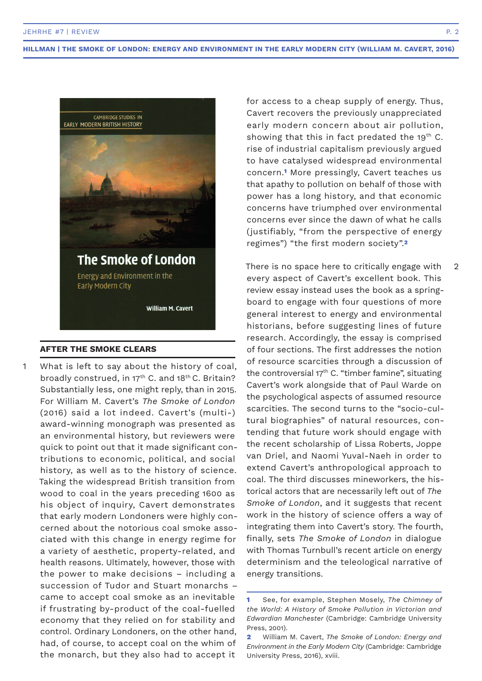

### **AFTER THE SMOKE CLEARS**

What is left to say about the history of coal, broadly construed, in 17<sup>th</sup> C. and 18<sup>th</sup> C. Britain? Substantially less, one might reply, than in 2015. For William M. Cavert's *The Smoke of London* (2016) said a lot indeed. Cavert's (multi-) award-winning monograph was presented as an environmental history, but reviewers were quick to point out that it made significant contributions to economic, political, and social history, as well as to the history of science. Taking the widespread British transition from wood to coal in the years preceding 1600 as his object of inquiry, Cavert demonstrates that early modern Londoners were highly concerned about the notorious coal smoke associated with this change in energy regime for a variety of aesthetic, property-related, and health reasons. Ultimately, however, those with the power to make decisions – including a succession of Tudor and Stuart monarchs – came to accept coal smoke as an inevitable if frustrating by-product of the coal-fuelled economy that they relied on for stability and control. Ordinary Londoners, on the other hand, had, of course, to accept coal on the whim of the monarch, but they also had to accept it 1

for access to a cheap supply of energy. Thus, Cavert recovers the previously unappreciated early modern concern about air pollution, showing that this in fact predated the 19<sup>th</sup> C. rise of industrial capitalism previously argued to have catalysed widespread environmental concern.**1** More pressingly, Cavert teaches us that apathy to pollution on behalf of those with power has a long history, and that economic concerns have triumphed over environmental concerns ever since the dawn of what he calls (justifiably, "from the perspective of energy regimes") "the first modern society".**<sup>2</sup>**

There is no space here to critically engage with every aspect of Cavert's excellent book. This review essay instead uses the book as a springboard to engage with four questions of more general interest to energy and environmental historians, before suggesting lines of future research. Accordingly, the essay is comprised of four sections. The first addresses the notion of resource scarcities through a discussion of the controversial 17th C. "timber famine", situating Cavert's work alongside that of Paul Warde on the psychological aspects of assumed resource scarcities. The second turns to the "socio-cultural biographies" of natural resources, contending that future work should engage with the recent scholarship of Lissa Roberts, Joppe van Driel, and Naomi Yuval-Naeh in order to extend Cavert's anthropological approach to coal. The third discusses mineworkers, the historical actors that are necessarily left out of *The Smoke of London*, and it suggests that recent work in the history of science offers a way of integrating them into Cavert's story. The fourth, finally, sets *The Smoke of London* in dialogue with Thomas Turnbull's recent article on energy determinism and the teleological narrative of energy transitions.

2

**<sup>1</sup>** See, for example, Stephen Mosely, *The Chimney of the World: A History of Smoke Pollution in Victorian and Edwardian Manchester* (Cambridge: Cambridge University Press, 2001).

**<sup>2</sup>** William M. Cavert, *The Smoke of London: Energy and Environment in the Early Modern City* (Cambridge: Cambridge University Press, 2016), xviii.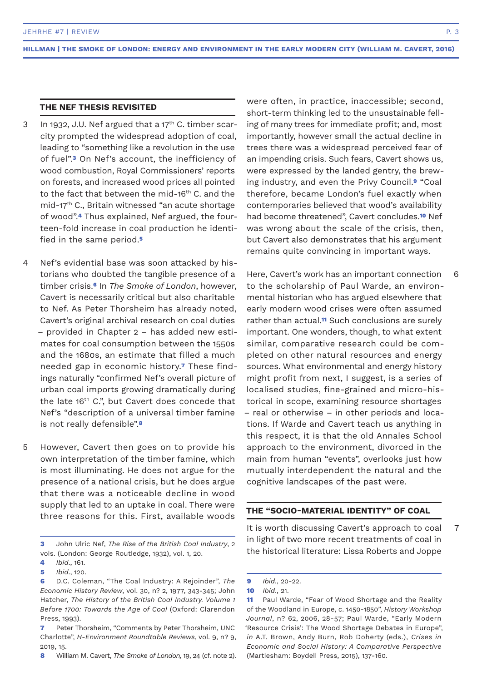# **THE NEF THESIS REVISITED**

- In 1932, J.U. Nef argued that a  $17<sup>th</sup>$  C. timber scarcity prompted the widespread adoption of coal, leading to "something like a revolution in the use of fuel".**3** On Nef's account, the inefficiency of wood combustion, Royal Commissioners' reports on forests, and increased wood prices all pointed to the fact that between the mid-16<sup>th</sup> C. and the mid-17th C., Britain witnessed "an acute shortage of wood".**4** Thus explained, Nef argued, the fourteen-fold increase in coal production he identified in the same period.**<sup>5</sup>** 3
- Nef's evidential base was soon attacked by historians who doubted the tangible presence of a timber crisis.**6** In *The Smoke of London*, however, Cavert is necessarily critical but also charitable to Nef. As Peter Thorsheim has already noted, Cavert's original archival research on coal duties – provided in Chapter 2 – has added new estimates for coal consumption between the 1550s and the 1680s, an estimate that filled a much needed gap in economic history.**7** These findings naturally "confirmed Nef's overall picture of urban coal imports growing dramatically during the late 16<sup>th</sup> C.", but Cavert does concede that Nef's "description of a universal timber famine is not really defensible".**<sup>8</sup>** 4
- However, Cavert then goes on to provide his own interpretation of the timber famine, which is most illuminating. He does not argue for the presence of a national crisis, but he does argue that there was a noticeable decline in wood supply that led to an uptake in coal. There were three reasons for this. First, available woods 5

were often, in practice, inaccessible; second, short-term thinking led to the unsustainable felling of many trees for immediate profit; and, most importantly, however small the actual decline in trees there was a widespread perceived fear of an impending crisis. Such fears, Cavert shows us, were expressed by the landed gentry, the brewing industry, and even the Privy Council.**9** "Coal therefore, became London's fuel exactly when contemporaries believed that wood's availability had become threatened", Cavert concludes.**10** Nef was wrong about the scale of the crisis, then, but Cavert also demonstrates that his argument remains quite convincing in important ways.

Here, Cavert's work has an important connection to the scholarship of Paul Warde, an environmental historian who has argued elsewhere that early modern wood crises were often assumed rather than actual.**11** Such conclusions are surely important. One wonders, though, to what extent similar, comparative research could be completed on other natural resources and energy sources. What environmental and energy history might profit from next, I suggest, is a series of localised studies, fine-grained and micro-historical in scope, examining resource shortages – real or otherwise – in other periods and locations. If Warde and Cavert teach us anything in this respect, it is that the old Annales School approach to the environment, divorced in the main from human "events", overlooks just how mutually interdependent the natural and the cognitive landscapes of the past were.

# **THE "SOCIO-MATERIAL IDENTITY" OF COAL**

It is worth discussing Cavert's approach to coal in light of two more recent treatments of coal in the historical literature: Lissa Roberts and Joppe

6

7

**<sup>3</sup>** John Ulric Nef, *The Rise of the British Coal Industry*, 2 vols. (London: George Routledge, 1932), vol. 1, 20.

**<sup>4</sup>** *Ibid*., 161.

**<sup>5</sup>** *Ibid*., 120.

**<sup>6</sup>** D.C. Coleman, "The Coal Industry: A Rejoinder", *The Economic History Review*, vol. 30, n? 2, 1977, 343-345; John Hatcher, *The History of the British Coal Industry. Volume 1 Before 1700: Towards the Age of Coal* (Oxford: Clarendon Press, 1993).

**<sup>7</sup>** Peter Thorsheim, "Comments by Peter Thorsheim, UNC Charlotte", *H-Environment Roundtable Reviews*, vol. 9, n? 9, 2019, 15.

**<sup>8</sup>** William M. Cavert, *The Smoke of London,* 19, 24 (cf. note 2).

**<sup>9</sup>** *Ibid*., 20-22.

**<sup>10</sup>** *Ibid*., 21.

**<sup>11</sup>** Paul Warde, "Fear of Wood Shortage and the Reality of the Woodland in Europe, c. 1450-1850", *History Workshop Journal*, n? 62, 2006, 28-57; Paul Warde, "Early Modern 'Resource Crisis': The Wood Shortage Debates in Europe", *in* A.T. Brown, Andy Burn, Rob Doherty (eds.), *Crises in Economic and Social History: A Comparative Perspective* (Martlesham: Boydell Press, 2015), 137-160.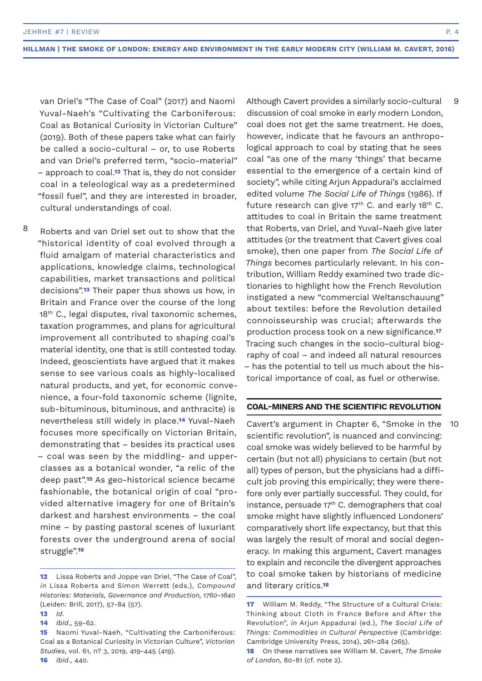van Driel's "The Case of Coal" (2017) and Naomi Yuval-Naeh's "Cultivating the Carboniferous: Coal as Botanical Curiosity in Victorian Culture" (2019). Both of these papers take what can fairly be called a socio-cultural – or, to use Roberts and van Driel's preferred term, "socio-material" – approach to coal.**12** That is, they do not consider coal in a teleological way as a predetermined "fossil fuel", and they are interested in broader, cultural understandings of coal.

Roberts and van Driel set out to show that the "historical identity of coal evolved through a fluid amalgam of material characteristics and applications, knowledge claims, technological capabilities, market transactions and political decisions".**13** Their paper thus shows us how, in Britain and France over the course of the long 18<sup>th</sup> C., legal disputes, rival taxonomic schemes, taxation programmes, and plans for agricultural improvement all contributed to shaping coal's material identity, one that is still contested today. Indeed, geoscientists have argued that it makes sense to see various coals as highly-localised natural products, and yet, for economic convenience, a four-fold taxonomic scheme (lignite, sub-bituminous, bituminous, and anthracite) is nevertheless still widely in place.**14** Yuval-Naeh focuses more specifically on Victorian Britain, demonstrating that – besides its practical uses – coal was seen by the middling- and upperclasses as a botanical wonder, "a relic of the deep past".**15** As geo-historical science became fashionable, the botanical origin of coal "provided alternative imagery for one of Britain's darkest and harshest environments – the coal mine – by pasting pastoral scenes of luxuriant forests over the underground arena of social struggle".**<sup>16</sup>** 8

**16** *Ibid*., 440.

Although Cavert provides a similarly socio-cultural discussion of coal smoke in early modern London, coal does not get the same treatment. He does, however, indicate that he favours an anthropological approach to coal by stating that he sees coal "as one of the many 'things' that became essential to the emergence of a certain kind of society", while citing Arjun Appadurai's acclaimed edited volume *The Social Life of Things* (1986). If future research can give  $17<sup>th</sup>$  C. and early 18<sup>th</sup> C. attitudes to coal in Britain the same treatment that Roberts, van Driel, and Yuval-Naeh give later attitudes (or the treatment that Cavert gives coal smoke), then one paper from *The Social Life of Things* becomes particularly relevant. In his contribution, William Reddy examined two trade dictionaries to highlight how the French Revolution instigated a new "commercial Weltanschauung" about textiles: before the Revolution detailed connoisseurship was crucial; afterwards the production process took on a new significance.**<sup>17</sup>** Tracing such changes in the socio-cultural biography of coal – and indeed all natural resources – has the potential to tell us much about the historical importance of coal, as fuel or otherwise.

# **COAL-MINERS AND THE SCIENTIFIC REVOLUTION**

Cavert's argument in Chapter 6, "Smoke in the scientific revolution", is nuanced and convincing: coal smoke was widely believed to be harmful by certain (but not all) physicians to certain (but not all) types of person, but the physicians had a difficult job proving this empirically; they were therefore only ever partially successful. They could, for instance, persuade  $17<sup>th</sup>$  C. demographers that coal smoke might have slightly influenced Londoners' comparatively short life expectancy, but that this was largely the result of moral and social degeneracy. In making this argument, Cavert manages to explain and reconcile the divergent approaches to coal smoke taken by historians of medicine and literary critics.**<sup>18</sup>**

9

10

**<sup>12</sup>** Lissa Roberts and Joppe van Driel, "The Case of Coal", *in* Lissa Roberts and Simon Werrett (eds.), *Compound Histories: Materials, Governance and Production, 1760-1840* (Leiden: Brill, 2017), 57-84 (57).

**<sup>13</sup>** *Id*.

**<sup>14</sup>** *Ibid*., 59-62.

**<sup>15</sup>** Naomi Yuval-Naeh, "Cultivating the Carboniferous: Coal as a Botanical Curiosity in Victorian Culture", *Victorian Studies*, vol. 61, n? 3, 2019, 419-445 (419).

**<sup>17</sup>** William M. Reddy, "The Structure of a Cultural Crisis: Thinking about Cloth in France Before and After the Revolution", *in* Arjun Appadurai (ed.), *The Social Life of Things: Commodities in Cultural Perspective* (Cambridge: Cambridge University Press, 2014), 261-284 (265).

**<sup>18</sup>** On these narratives see William M. Cavert, *The Smoke of London,* 80-81 (cf. note 2).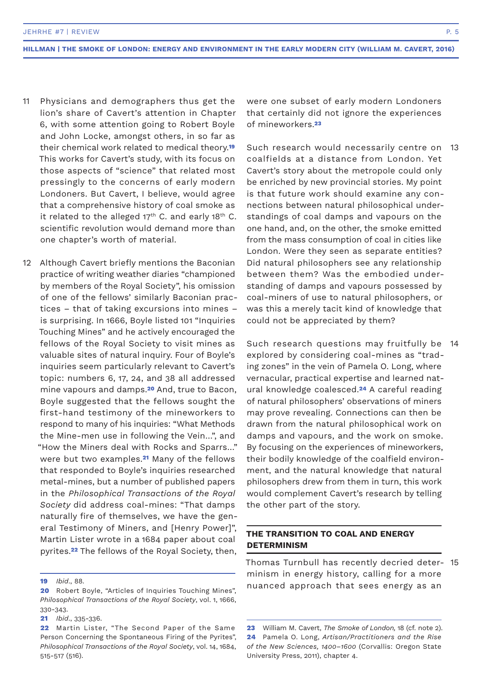- Physicians and demographers thus get the lion's share of Cavert's attention in Chapter 6, with some attention going to Robert Boyle and John Locke, amongst others, in so far as their chemical work related to medical theory.**<sup>19</sup>** This works for Cavert's study, with its focus on those aspects of "science" that related most pressingly to the concerns of early modern Londoners. But Cavert, I believe, would agree that a comprehensive history of coal smoke as it related to the alleged  $17<sup>th</sup>$  C. and early 18<sup>th</sup> C. scientific revolution would demand more than one chapter's worth of material. 11
- Although Cavert briefly mentions the Baconian practice of writing weather diaries "championed by members of the Royal Society", his omission of one of the fellows' similarly Baconian practices – that of taking excursions into mines – is surprising. In 1666, Boyle listed 101 "Inquiries Touching Mines" and he actively encouraged the fellows of the Royal Society to visit mines as valuable sites of natural inquiry. Four of Boyle's inquiries seem particularly relevant to Cavert's topic: numbers 6, 17, 24, and 38 all addressed mine vapours and damps.**20** And, true to Bacon, Boyle suggested that the fellows sought the first-hand testimony of the mineworkers to respond to many of his inquiries: "What Methods the Mine-men use in following the Vein…", and "How the Miners deal with Rocks and Sparrs…" were but two examples.**21** Many of the fellows that responded to Boyle's inquiries researched metal-mines, but a number of published papers in the *Philosophical Transactions of the Royal Society* did address coal-mines: "That damps naturally fire of themselves, we have the general Testimony of Miners, and [Henry Power]", Martin Lister wrote in a 1684 paper about coal pyrites.**22** The fellows of the Royal Society, then, 12

were one subset of early modern Londoners that certainly did not ignore the experiences of mineworkers.**<sup>23</sup>**

Such research would necessarily centre on coalfields at a distance from London. Yet Cavert's story about the metropole could only be enriched by new provincial stories. My point is that future work should examine any connections between natural philosophical understandings of coal damps and vapours on the one hand, and, on the other, the smoke emitted from the mass consumption of coal in cities like London. Were they seen as separate entities? Did natural philosophers see any relationship between them? Was the embodied understanding of damps and vapours possessed by coal-miners of use to natural philosophers, or was this a merely tacit kind of knowledge that could not be appreciated by them? 13

Such research questions may fruitfully be 14 explored by considering coal-mines as "trading zones" in the vein of Pamela O. Long, where vernacular, practical expertise and learned natural knowledge coalesced.**24** A careful reading of natural philosophers' observations of miners may prove revealing. Connections can then be drawn from the natural philosophical work on damps and vapours, and the work on smoke. By focusing on the experiences of mineworkers, their bodily knowledge of the coalfield environment, and the natural knowledge that natural philosophers drew from them in turn, this work would complement Cavert's research by telling the other part of the story.

# **THE TRANSITION TO COAL AND ENERGY DETERMINISM**

Thomas Turnbull has recently decried determinism in energy history, calling for a more nuanced approach that sees energy as an 15

**<sup>19</sup>** *Ibid*., 88.

**<sup>20</sup>** Robert Boyle, "Articles of Inquiries Touching Mines", *Philosophical Transactions of the Royal Society*, vol. 1, 1666, 330-343.

**<sup>21</sup>** *Ibid*., 335-336.

**<sup>22</sup>** Martin Lister, "The Second Paper of the Same Person Concerning the Spontaneous Firing of the Pyrites", *Philosophical Transactions of the Royal Society*, vol. 14, 1684, 515-517 (516).

**<sup>23</sup>** William M. Cavert, *The Smoke of London,* 18 (cf. note 2). **24** Pamela O. Long, *Artisan/Practitioners and the Rise of the New Sciences, 1400–1600* (Corvallis: Oregon State University Press, 2011), chapter 4.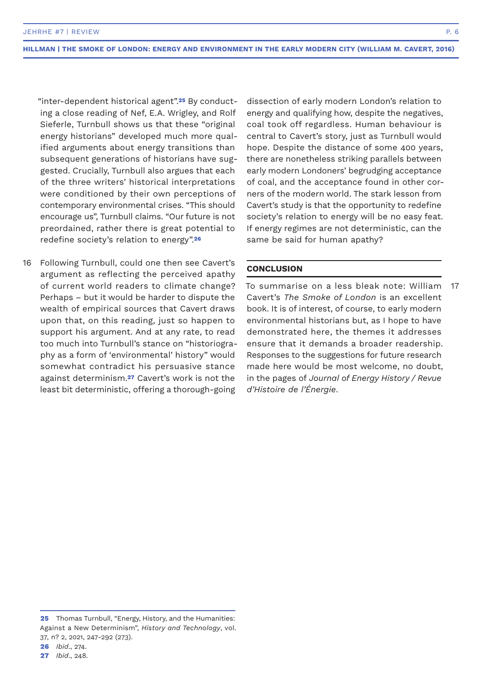"inter-dependent historical agent".**25** By conducting a close reading of Nef, E.A. Wrigley, and Rolf Sieferle, Turnbull shows us that these "original energy historians" developed much more qualified arguments about energy transitions than subsequent generations of historians have suggested. Crucially, Turnbull also argues that each of the three writers' historical interpretations were conditioned by their own perceptions of contemporary environmental crises. "This should encourage us", Turnbull claims. "Our future is not preordained, rather there is great potential to redefine society's relation to energy".**<sup>26</sup>**

Following Turnbull, could one then see Cavert's argument as reflecting the perceived apathy of current world readers to climate change? Perhaps – but it would be harder to dispute the wealth of empirical sources that Cavert draws upon that, on this reading, just so happen to support his argument. And at any rate, to read too much into Turnbull's stance on "historiography as a form of 'environmental' history" would somewhat contradict his persuasive stance against determinism.**27** Cavert's work is not the least bit deterministic, offering a thorough-going 16

dissection of early modern London's relation to energy and qualifying how, despite the negatives, coal took off regardless. Human behaviour is central to Cavert's story, just as Turnbull would hope. Despite the distance of some 400 years, there are nonetheless striking parallels between early modern Londoners' begrudging acceptance of coal, and the acceptance found in other corners of the modern world. The stark lesson from Cavert's study is that the opportunity to redefine society's relation to energy will be no easy feat. If energy regimes are not deterministic, can the same be said for human apathy?

# **CONCLUSION**

To summarise on a less bleak note: William Cavert's *The Smoke of London* is an excellent book. It is of interest, of course, to early modern environmental historians but, as I hope to have demonstrated here, the themes it addresses ensure that it demands a broader readership. Responses to the suggestions for future research made here would be most welcome, no doubt, in the pages of *Journal of Energy History / Revue d'Histoire de l'Énergie*. 17

**26** *Ibid*., 274.

**<sup>25</sup>** Thomas Turnbull, "Energy, History, and the Humanities: Against a New Determinism", *History and Technology*, vol. 37, n? 2, 2021, 247-292 (273).

**<sup>27</sup>** *Ibid*., 248.